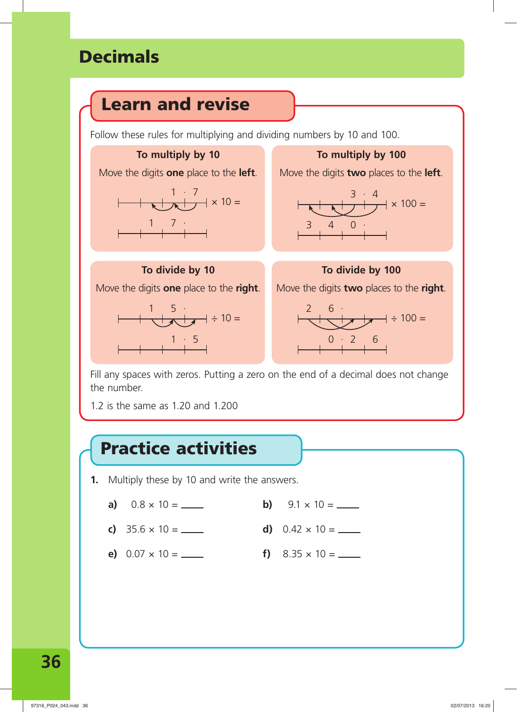## **Decimals**



Fill any spaces with zeros. Putting a zero on the end of a decimal does not change the number.

1.2 is the same as 1.20 and 1.200

## **Practice activities**

- **1.** Multiply these by 10 and write the answers.
	- **a)**  $0.8 \times 10 =$  **b)**  $9.1 \times 10 =$  **b**
	- **c)**  $35.6 \times 10 =$  **d)**  $0.42 \times 10 =$  **d**
	- **e)**  $0.07 \times 10 =$  **f)**  $8.35 \times 10 =$  **f**